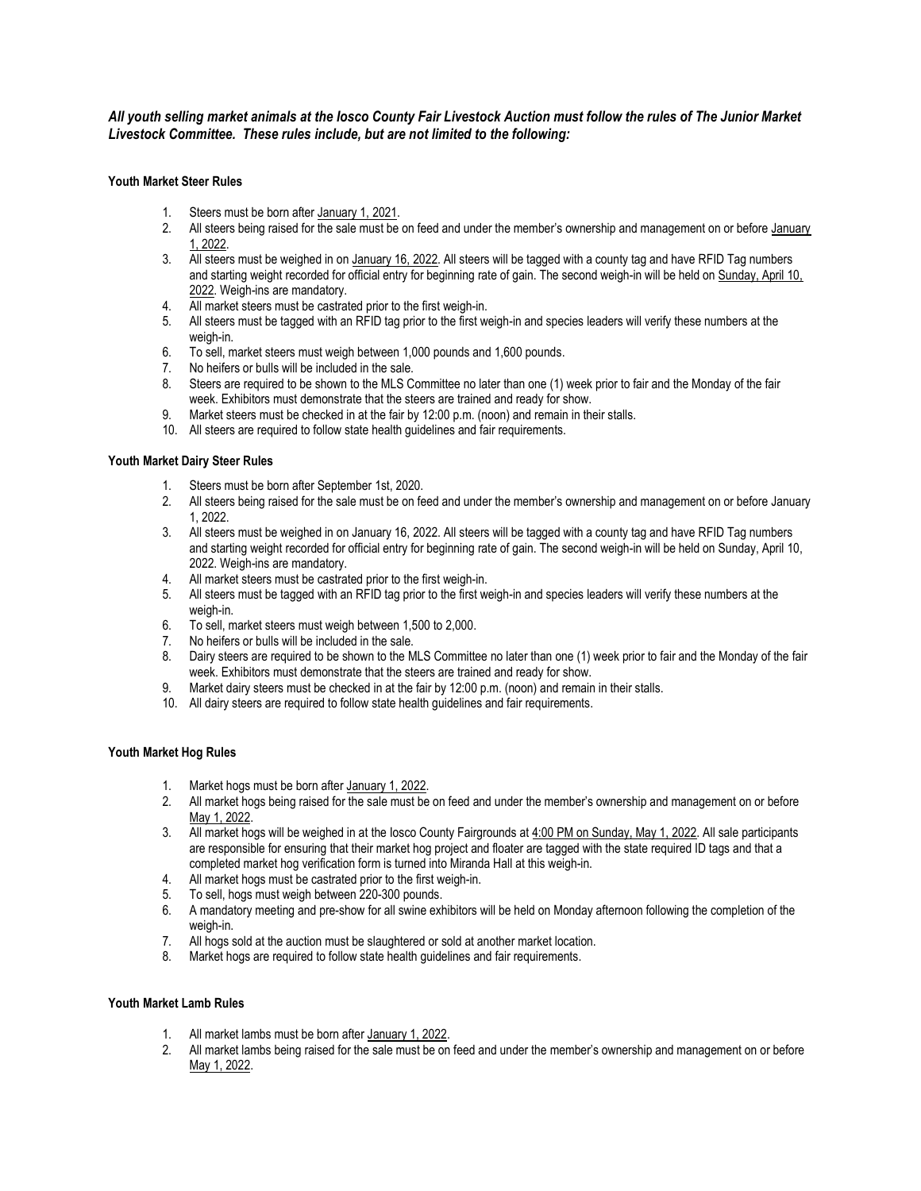# All youth selling market animals at the Iosco County Fair Livestock Auction must follow the rules of The Junior Market Livestock Committee. These rules include, but are not limited to the following:

# Youth Market Steer Rules

- 1. Steers must be born after January 1, 2021.
- 2. All steers being raised for the sale must be on feed and under the member's ownership and management on or before January 1, 2022.
- 3. All steers must be weighed in on January 16, 2022. All steers will be tagged with a county tag and have RFID Tag numbers and starting weight recorded for official entry for beginning rate of gain. The second weigh-in will be held on Sunday, April 10, 2022. Weigh-ins are mandatory.
- 4. All market steers must be castrated prior to the first weigh-in.
- 5. All steers must be tagged with an RFID tag prior to the first weigh-in and species leaders will verify these numbers at the weigh-in.
- 6. To sell, market steers must weigh between 1,000 pounds and 1,600 pounds.
- 7. No heifers or bulls will be included in the sale.
- 8. Steers are required to be shown to the MLS Committee no later than one (1) week prior to fair and the Monday of the fair week. Exhibitors must demonstrate that the steers are trained and ready for show.
- 9. Market steers must be checked in at the fair by 12:00 p.m. (noon) and remain in their stalls.
- 10. All steers are required to follow state health guidelines and fair requirements.

# Youth Market Dairy Steer Rules

- 1. Steers must be born after September 1st, 2020.
- 2. All steers being raised for the sale must be on feed and under the member's ownership and management on or before January 1, 2022.
- 3. All steers must be weighed in on January 16, 2022. All steers will be tagged with a county tag and have RFID Tag numbers and starting weight recorded for official entry for beginning rate of gain. The second weigh-in will be held on Sunday, April 10, 2022. Weigh-ins are mandatory.
- 4. All market steers must be castrated prior to the first weigh-in.
- 5. All steers must be tagged with an RFID tag prior to the first weigh-in and species leaders will verify these numbers at the weigh-in.
- 6. To sell, market steers must weigh between 1,500 to 2,000.
- 7. No heifers or bulls will be included in the sale.
- 8. Dairy steers are required to be shown to the MLS Committee no later than one (1) week prior to fair and the Monday of the fair week. Exhibitors must demonstrate that the steers are trained and ready for show.
- 9. Market dairy steers must be checked in at the fair by 12:00 p.m. (noon) and remain in their stalls.
- 10. All dairy steers are required to follow state health guidelines and fair requirements.

# Youth Market Hog Rules

- 1. Market hogs must be born after January 1, 2022.
- 2. All market hogs being raised for the sale must be on feed and under the member's ownership and management on or before May 1, 2022.
- 3. All market hogs will be weighed in at the Iosco County Fairgrounds at 4:00 PM on Sunday, May 1, 2022. All sale participants are responsible for ensuring that their market hog project and floater are tagged with the state required ID tags and that a completed market hog verification form is turned into Miranda Hall at this weigh-in.
- 4. All market hogs must be castrated prior to the first weigh-in.
- 5. To sell, hogs must weigh between 220-300 pounds.
- 6. A mandatory meeting and pre-show for all swine exhibitors will be held on Monday afternoon following the completion of the weigh-in.
- 7. All hogs sold at the auction must be slaughtered or sold at another market location.
- 8. Market hogs are required to follow state health guidelines and fair requirements.

#### Youth Market Lamb Rules

- 1. All market lambs must be born after January 1, 2022.
- 2. All market lambs being raised for the sale must be on feed and under the member's ownership and management on or before May 1, 2022.